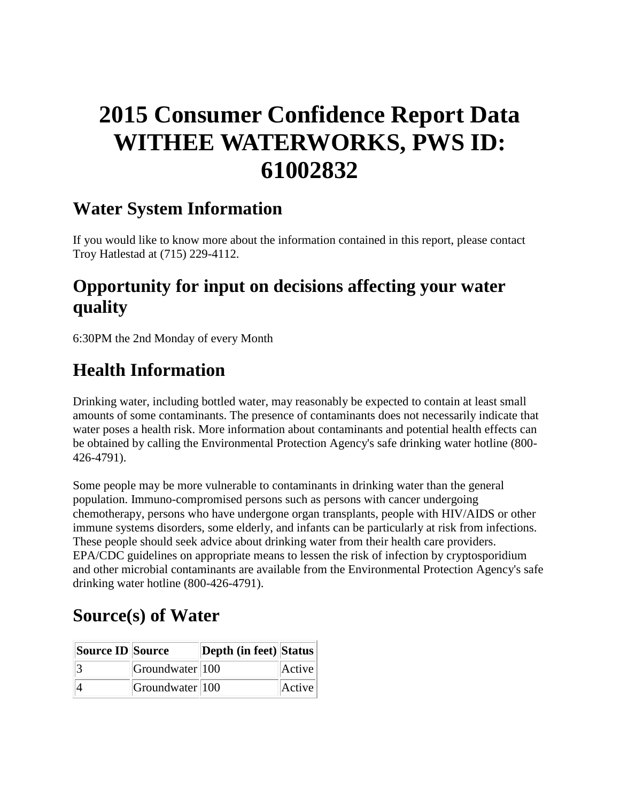# **2015 Consumer Confidence Report Data WITHEE WATERWORKS, PWS ID: 61002832**

### **Water System Information**

If you would like to know more about the information contained in this report, please contact Troy Hatlestad at (715) 229-4112.

# **Opportunity for input on decisions affecting your water quality**

6:30PM the 2nd Monday of every Month

# **Health Information**

Drinking water, including bottled water, may reasonably be expected to contain at least small amounts of some contaminants. The presence of contaminants does not necessarily indicate that water poses a health risk. More information about contaminants and potential health effects can be obtained by calling the Environmental Protection Agency's safe drinking water hotline (800- 426-4791).

Some people may be more vulnerable to contaminants in drinking water than the general population. Immuno-compromised persons such as persons with cancer undergoing chemotherapy, persons who have undergone organ transplants, people with HIV/AIDS or other immune systems disorders, some elderly, and infants can be particularly at risk from infections. These people should seek advice about drinking water from their health care providers. EPA/CDC guidelines on appropriate means to lessen the risk of infection by cryptosporidium and other microbial contaminants are available from the Environmental Protection Agency's safe drinking water hotline (800-426-4791).

### **Source(s) of Water**

| Source ID Source |                        | Depth (in feet) Status |        |
|------------------|------------------------|------------------------|--------|
|                  | $ G$ roundwater $ 100$ |                        | Active |
|                  | Groundwater 100        |                        | Active |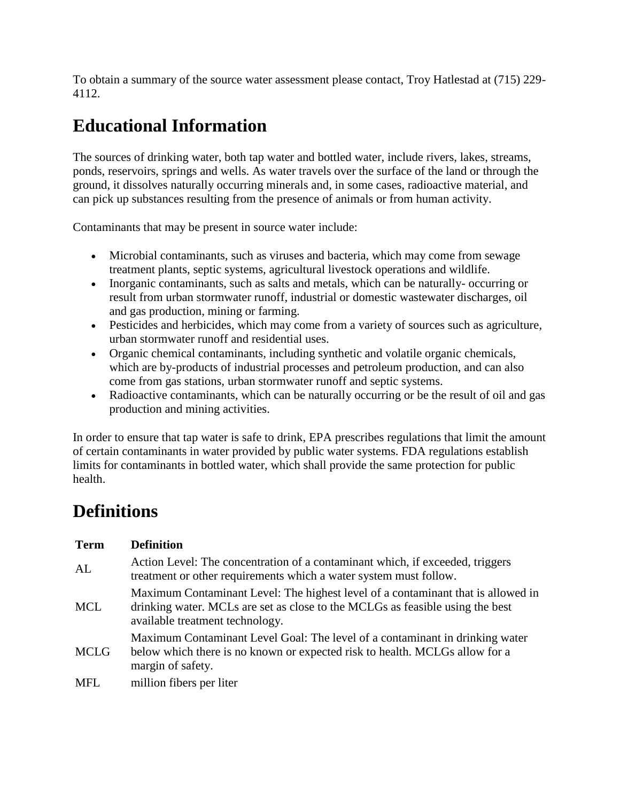To obtain a summary of the source water assessment please contact, Troy Hatlestad at (715) 229- 4112.

# **Educational Information**

The sources of drinking water, both tap water and bottled water, include rivers, lakes, streams, ponds, reservoirs, springs and wells. As water travels over the surface of the land or through the ground, it dissolves naturally occurring minerals and, in some cases, radioactive material, and can pick up substances resulting from the presence of animals or from human activity.

Contaminants that may be present in source water include:

- Microbial contaminants, such as viruses and bacteria, which may come from sewage treatment plants, septic systems, agricultural livestock operations and wildlife.
- Inorganic contaminants, such as salts and metals, which can be naturally-occurring or result from urban stormwater runoff, industrial or domestic wastewater discharges, oil and gas production, mining or farming.
- Pesticides and herbicides, which may come from a variety of sources such as agriculture, urban stormwater runoff and residential uses.
- Organic chemical contaminants, including synthetic and volatile organic chemicals, which are by-products of industrial processes and petroleum production, and can also come from gas stations, urban stormwater runoff and septic systems.
- Radioactive contaminants, which can be naturally occurring or be the result of oil and gas production and mining activities.

In order to ensure that tap water is safe to drink, EPA prescribes regulations that limit the amount of certain contaminants in water provided by public water systems. FDA regulations establish limits for contaminants in bottled water, which shall provide the same protection for public health.

### **Definitions**

| <b>Term</b> | <b>Definition</b>                                                                                                                                                                                    |
|-------------|------------------------------------------------------------------------------------------------------------------------------------------------------------------------------------------------------|
| AL          | Action Level: The concentration of a contaminant which, if exceeded, triggers<br>treatment or other requirements which a water system must follow.                                                   |
| <b>MCL</b>  | Maximum Contaminant Level: The highest level of a contaminant that is allowed in<br>drinking water. MCLs are set as close to the MCLGs as feasible using the best<br>available treatment technology. |
| <b>MCLG</b> | Maximum Contaminant Level Goal: The level of a contaminant in drinking water<br>below which there is no known or expected risk to health. MCLGs allow for a<br>margin of safety.                     |
| <b>MFL</b>  | million fibers per liter                                                                                                                                                                             |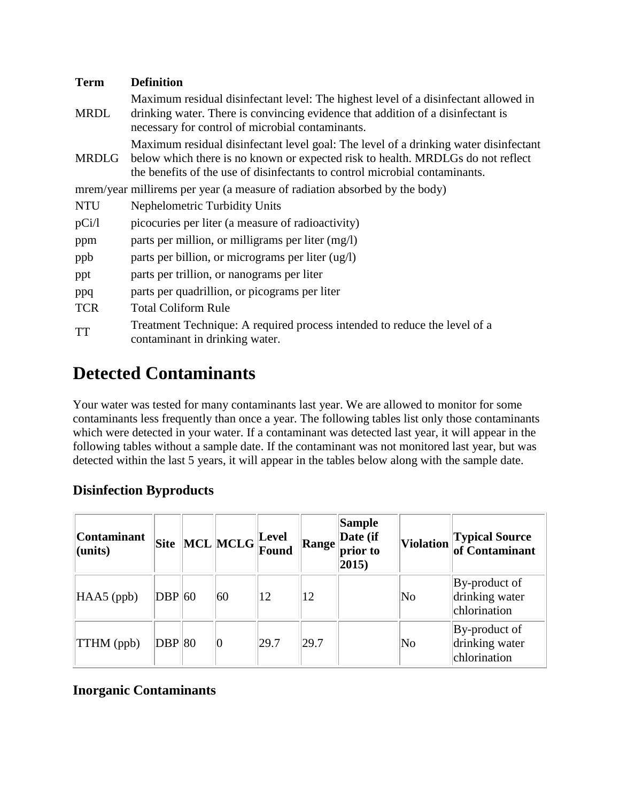| <b>Term</b> | <b>Definition</b>                                                                                                                                                                                                                                      |  |  |  |  |  |  |  |
|-------------|--------------------------------------------------------------------------------------------------------------------------------------------------------------------------------------------------------------------------------------------------------|--|--|--|--|--|--|--|
| <b>MRDL</b> | Maximum residual disinfectant level: The highest level of a disinfectant allowed in<br>drinking water. There is convincing evidence that addition of a disinfectant is<br>necessary for control of microbial contaminants.                             |  |  |  |  |  |  |  |
| MRDLG       | Maximum residual disinfectant level goal: The level of a drinking water disinfectant<br>below which there is no known or expected risk to health. MRDLGs do not reflect<br>the benefits of the use of disinfectants to control microbial contaminants. |  |  |  |  |  |  |  |
|             | mrem/year millirems per year (a measure of radiation absorbed by the body)                                                                                                                                                                             |  |  |  |  |  |  |  |
| <b>NTU</b>  | Nephelometric Turbidity Units                                                                                                                                                                                                                          |  |  |  |  |  |  |  |
| pCi/l       | picocuries per liter (a measure of radioactivity)                                                                                                                                                                                                      |  |  |  |  |  |  |  |
| ppm         | parts per million, or milligrams per liter (mg/l)                                                                                                                                                                                                      |  |  |  |  |  |  |  |
| ppb         | parts per billion, or micrograms per liter (ug/l)                                                                                                                                                                                                      |  |  |  |  |  |  |  |
| ppt         | parts per trillion, or nanograms per liter                                                                                                                                                                                                             |  |  |  |  |  |  |  |
| ppq         | parts per quadrillion, or picograms per liter                                                                                                                                                                                                          |  |  |  |  |  |  |  |
| <b>TCR</b>  | <b>Total Coliform Rule</b>                                                                                                                                                                                                                             |  |  |  |  |  |  |  |
| <b>TT</b>   | Treatment Technique: A required process intended to reduce the level of a<br>contaminant in drinking water.                                                                                                                                            |  |  |  |  |  |  |  |

# **Detected Contaminants**

Your water was tested for many contaminants last year. We are allowed to monitor for some contaminants less frequently than once a year. The following tables list only those contaminants which were detected in your water. If a contaminant was detected last year, it will appear in the following tables without a sample date. If the contaminant was not monitored last year, but was detected within the last 5 years, it will appear in the tables below along with the sample date.

#### **Disinfection Byproducts**

| <b>Contaminant</b><br>$ $ (units) |          | $\left\Vert \text{Site} \right\Vert \text{MCL} \left\Vert \text{MCLG} \right\Vert_{\mathbf{T}}^{\text{Level}}.$ | Found | Range | <b>Sample</b><br>Date (if<br>prior to<br>$ 2015\rangle$ | <b>Violation</b>       | Typical Source<br>of Contaminant                |
|-----------------------------------|----------|-----------------------------------------------------------------------------------------------------------------|-------|-------|---------------------------------------------------------|------------------------|-------------------------------------------------|
| $HAAS$ (ppb)                      | $DBP$ 60 | 60                                                                                                              | 12    | 12    |                                                         | $\overline{\text{No}}$ | By-product of<br>drinking water<br>chlorination |
| <b>TTHM</b> (ppb)                 | DBP 80   | 10                                                                                                              | 29.7  | 29.7  |                                                         | $\overline{\text{No}}$ | By-product of<br>drinking water<br>chlorination |

#### **Inorganic Contaminants**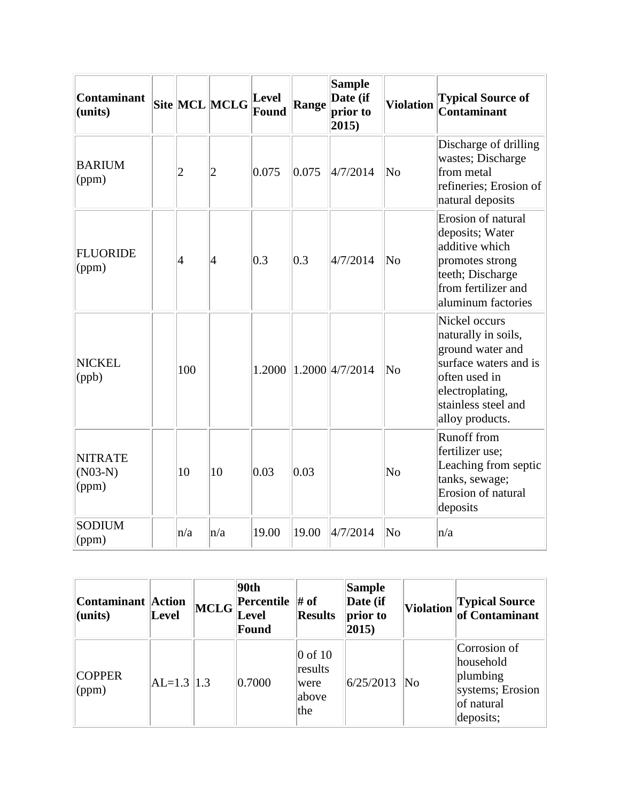| <b>Contaminant</b><br>(units)        |                | Site MCL MCLG  | Level<br><b>Found</b> | <b>Range</b> | <b>Sample</b><br>Date (if<br>prior to<br>2015) | <b>Violation</b>       | <b>Typical Source of</b><br>Contaminant                                                                                                                         |
|--------------------------------------|----------------|----------------|-----------------------|--------------|------------------------------------------------|------------------------|-----------------------------------------------------------------------------------------------------------------------------------------------------------------|
| <b>BARIUM</b><br>(ppm)               | $\overline{2}$ | $\overline{2}$ | 0.075                 | 0.075        | 4/7/2014                                       | No                     | Discharge of drilling<br>wastes; Discharge<br>from metal<br>refineries; Erosion of<br>natural deposits                                                          |
| <b>FLUORIDE</b><br>(ppm)             | $\vert 4$      | $\vert 4$      | 0.3                   | 0.3          | 4/7/2014                                       | $\overline{\text{No}}$ | Erosion of natural<br>deposits; Water<br>additive which<br>promotes strong<br>teeth; Discharge<br>from fertilizer and<br>aluminum factories                     |
| <b>NICKEL</b><br>(ppb)               | 100            |                | 1.2000                |              | 1.2000 4/7/2014                                | No                     | Nickel occurs<br>naturally in soils,<br>ground water and<br>surface waters and is<br>often used in<br>electroplating,<br>stainless steel and<br>alloy products. |
| <b>NITRATE</b><br>$(N03-N)$<br>(ppm) | 10             | 10             | 0.03                  | 0.03         |                                                | No                     | Runoff from<br>fertilizer use;<br>Leaching from septic<br>tanks, sewage;<br>Erosion of natural<br>deposits                                                      |
| <b>SODIUM</b><br>(ppm)               | n/a            | n/a            | 19.00                 | 19.00        | 4/7/2014                                       | $\overline{\text{No}}$ | n/a                                                                                                                                                             |

| Contaminant   Action<br>$ $ (units) | <b>Level</b>   | <b>MCLG</b> | 90th<br><b>Percentile</b> $\#$ of<br>Level<br>Found | <b>Results</b>                                     | <b>Sample</b><br>Date (if<br>prior to<br>2015) | Violation | Typical Source<br>of Contaminant                                                     |
|-------------------------------------|----------------|-------------|-----------------------------------------------------|----------------------------------------------------|------------------------------------------------|-----------|--------------------------------------------------------------------------------------|
| <b>COPPER</b><br>$\gamma$ (ppm)     | $AL=1.3$   1.3 |             | 0.7000                                              | $\vert 0$ of 10<br>results<br>were<br>above<br>the | 6/25/2013                                      | No        | Corrosion of<br>household<br>plumbing<br>systems; Erosion<br>of natural<br>deposits; |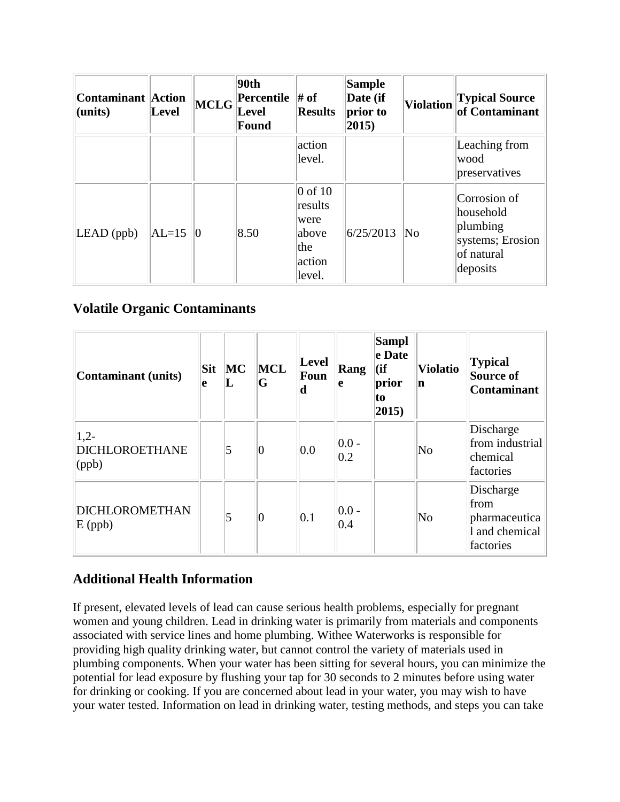| <b>Contaminant Action</b><br>(units) | Level   | $\left  \text{MCLG} \right $ | 90th<br>Percentile # of<br><b>Level</b><br>Found | <b>Results</b>                                                   | <b>Sample</b><br>Date (if<br>prior to<br>$ 2015\rangle$ | <b>Violation</b>       | <b>Typical Source</b><br>of Contaminant                                             |
|--------------------------------------|---------|------------------------------|--------------------------------------------------|------------------------------------------------------------------|---------------------------------------------------------|------------------------|-------------------------------------------------------------------------------------|
|                                      |         |                              |                                                  | action<br>level.                                                 |                                                         |                        | Leaching from<br>wood<br>preservatives                                              |
| $LEAD$ (ppb)                         | $AL=15$ | $\vert 0 \vert$              | 8.50                                             | $0$ of 10<br>results<br>were<br>above<br>the<br>action<br>level. | 6/25/2013                                               | $\overline{\text{No}}$ | Corrosion of<br>household<br>plumbing<br>systems; Erosion<br>of natural<br>deposits |

#### **Volatile Organic Contaminants**

| Contaminant (units)                | Sit<br>e | MC<br>╙ | MCL<br>G | Level<br>Foun<br>d | Rang<br>le                | <b>Sampl</b><br>e Date<br>$\overline{f}$<br>prior<br>to<br>$ 2015\rangle$ | <b>Violatio</b><br>n   | <b>Typical</b><br>Source of<br><b>Contaminant</b>                 |
|------------------------------------|----------|---------|----------|--------------------|---------------------------|---------------------------------------------------------------------------|------------------------|-------------------------------------------------------------------|
| $ 1,2-$<br>DICHLOROETHANE<br>(ppb) |          | 5       | 0        | 0.0                | $ 0.0 -$<br>$ 0.2\rangle$ |                                                                           | $\overline{\text{No}}$ | Discharge<br>from industrial<br>chemical<br>factories             |
| <b>DICHLOROMETHAN</b><br>$E$ (ppb) |          | 5       | 0        | 0.1                | $ 0.0 -$<br>0.4           |                                                                           | $\overline{\text{No}}$ | Discharge<br>from<br>pharmaceutica<br>1 and chemical<br>factories |

#### **Additional Health Information**

If present, elevated levels of lead can cause serious health problems, especially for pregnant women and young children. Lead in drinking water is primarily from materials and components associated with service lines and home plumbing. Withee Waterworks is responsible for providing high quality drinking water, but cannot control the variety of materials used in plumbing components. When your water has been sitting for several hours, you can minimize the potential for lead exposure by flushing your tap for 30 seconds to 2 minutes before using water for drinking or cooking. If you are concerned about lead in your water, you may wish to have your water tested. Information on lead in drinking water, testing methods, and steps you can take